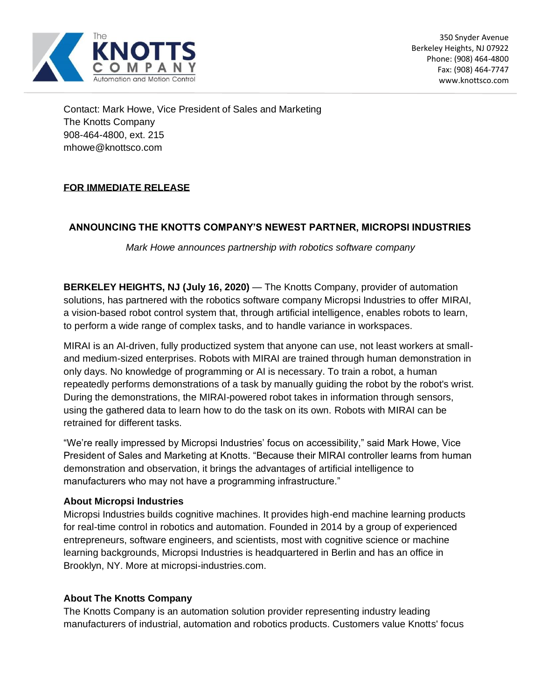

Contact: Mark Howe, Vice President of Sales and Marketing The Knotts Company 908-464-4800, ext. 215 mhowe@knottsco.com

## **FOR IMMEDIATE RELEASE**

## **ANNOUNCING THE KNOTTS COMPANY'S NEWEST PARTNER, MICROPSI INDUSTRIES**

*Mark Howe announces partnership with robotics software company*

**BERKELEY HEIGHTS, NJ (July 16, 2020)** — The Knotts Company, provider of automation solutions, has partnered with the robotics software company Micropsi Industries to offer MIRAI, a vision-based robot control system that, through artificial intelligence, enables robots to learn, to perform a wide range of complex tasks, and to handle variance in workspaces.

MIRAI is an AI-driven, fully productized system that anyone can use, not least workers at smalland medium-sized enterprises. Robots with MIRAI are trained through human demonstration in only days. No knowledge of programming or AI is necessary. To train a robot, a human repeatedly performs demonstrations of a task by manually guiding the robot by the robot's wrist. During the demonstrations, the MIRAI-powered robot takes in information through sensors, using the gathered data to learn how to do the task on its own. Robots with MIRAI can be retrained for different tasks.

"We're really impressed by Micropsi Industries' focus on accessibility," said Mark Howe, Vice President of Sales and Marketing at Knotts. "Because their MIRAI controller learns from human demonstration and observation, it brings the advantages of artificial intelligence to manufacturers who may not have a programming infrastructure."

## **About Micropsi Industries**

Micropsi Industries builds cognitive machines. It provides high-end machine learning products for real-time control in robotics and automation. Founded in 2014 by a group of experienced entrepreneurs, software engineers, and scientists, most with cognitive science or machine learning backgrounds, Micropsi Industries is headquartered in Berlin and has an office in Brooklyn, NY. More at micropsi-industries.com.

## **About The Knotts Company**

The Knotts Company is an automation solution provider representing industry leading manufacturers of industrial, automation and robotics products. Customers value Knotts' focus